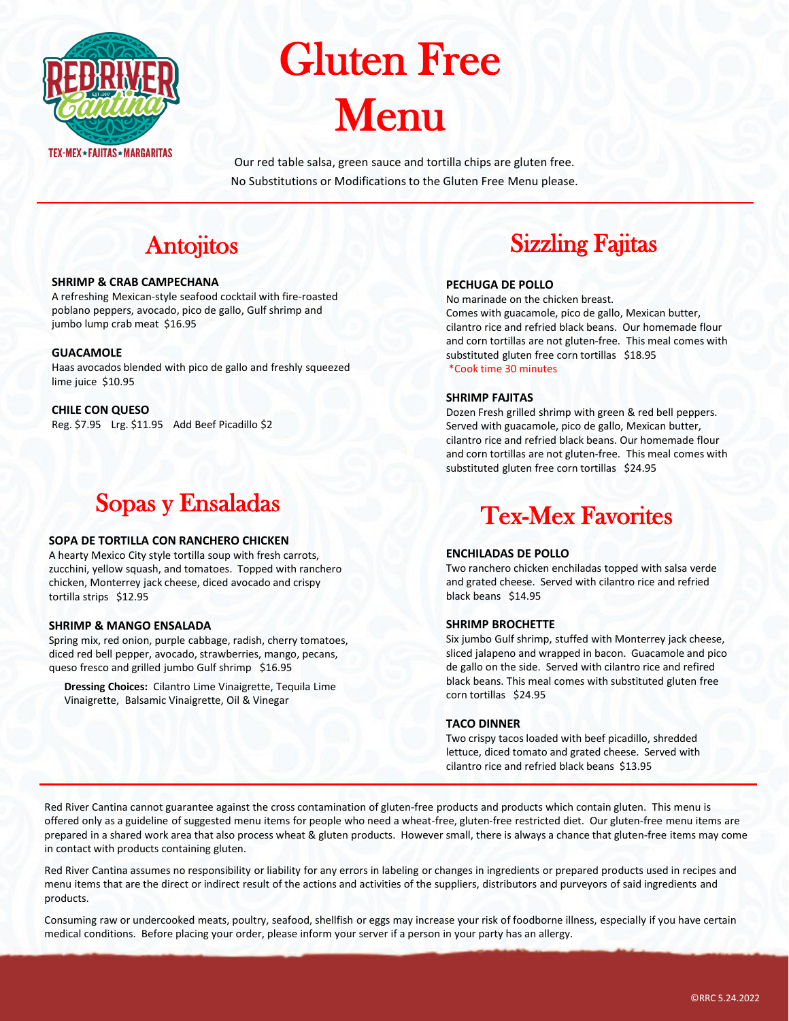

# Gluten Free Menu

Our red table salsa, green sauce and tortilla chips are gluten free. No Substitutions or Modifications to the Gluten Free Menu please.

# **Antojitos**

#### **SHRIMP & CRAB CAMPECHANA**

A refreshing Mexican-style seafood cocktail with fire-roasted poblano peppers, avocado, pico de gallo, Gulf shrimp and jumbo lump crab meat \$16.95

#### **GUACAMOLE**

Haas avocados blended with pico de gallo and freshly squeezed lime juice \$10.95

**CHILE CON QUESO** Reg. \$7.95 Lrg. \$11.95 Add Beef Picadillo \$2

# Sopas y Ensaladas

#### **SOPA DE TORTILLA CON RANCHERO CHICKEN**

A hearty Mexico City style tortilla soup with fresh carrots, zucchini, yellow squash, and tomatoes. Topped with ranchero chicken, Monterrey jack cheese, diced avocado and crispy tortilla strips \$12.95

#### **SHRIMP & MANGO ENSALADA**

Spring mix, red onion, purple cabbage, radish, cherry tomatoes, diced red bell pepper, avocado, strawberries, mango, pecans, queso fresco and grilled jumbo Gulf shrimp \$16.95

**Dressing Choices:** Cilantro Lime Vinaigrette, Tequila Lime Vinaigrette, Balsamic Vinaigrette, Oil & Vinegar

# Sizzling Fajitas

## **PECHUGA DE POLLO**

No marinade on the chicken breast. Comes with guacamole, pico de gallo, Mexican butter, cilantro rice and refried black beans. Our homemade flour and corn tortillas are not gluten-free. This meal comes with substituted gluten free corn tortillas \$18.95 \*Cook time 30 minutes

### **SHRIMP FAJITAS**

Dozen Fresh grilled shrimp with green & red bell peppers. Served with guacamole, pico de gallo, Mexican butter, cilantro rice and refried black beans. Our homemade flour and corn tortillas are not gluten-free. This meal comes with substituted gluten free corn tortillas \$24.95

# Tex-Mex Favorites

## **ENCHILADAS DE POLLO**

Two ranchero chicken enchiladas topped with salsa verde and grated cheese. Served with cilantro rice and refried black beans \$14.95

## **SHRIMP BROCHETTE**

Six jumbo Gulf shrimp, stuffed with Monterrey jack cheese, sliced jalapeno and wrapped in bacon. Guacamole and pico de gallo on the side. Served with cilantro rice and refired black beans. This meal comes with substituted gluten free corn tortillas \$24.95

#### **TACO DINNER**

Two crispy tacos loaded with beef picadillo, shredded lettuce, diced tomato and grated cheese. Served with cilantro rice and refried black beans \$13.95

Red River Cantina cannot guarantee against the cross contamination of gluten-free products and products which contain gluten. This menu is offered only as a guideline of suggested menu items for people who need a wheat-free, gluten-free restricted diet. Our gluten-free menu items are prepared in a shared work area that also process wheat & gluten products. However small, there is always a chance that gluten-free items may come in contact with products containing gluten.

Red River Cantina assumes no responsibility or liability for any errors in labeling or changes in ingredients or prepared products used in recipes and menu items that are the direct or indirect result of the actions and activities of the suppliers, distributors and purveyors of said ingredients and products.

Consuming raw or undercooked meats, poultry, seafood, shellfish or eggs may increase your risk of foodborne illness, especially if you have certain medical conditions. Before placing your order, please inform your server if a person in your party has an allergy.